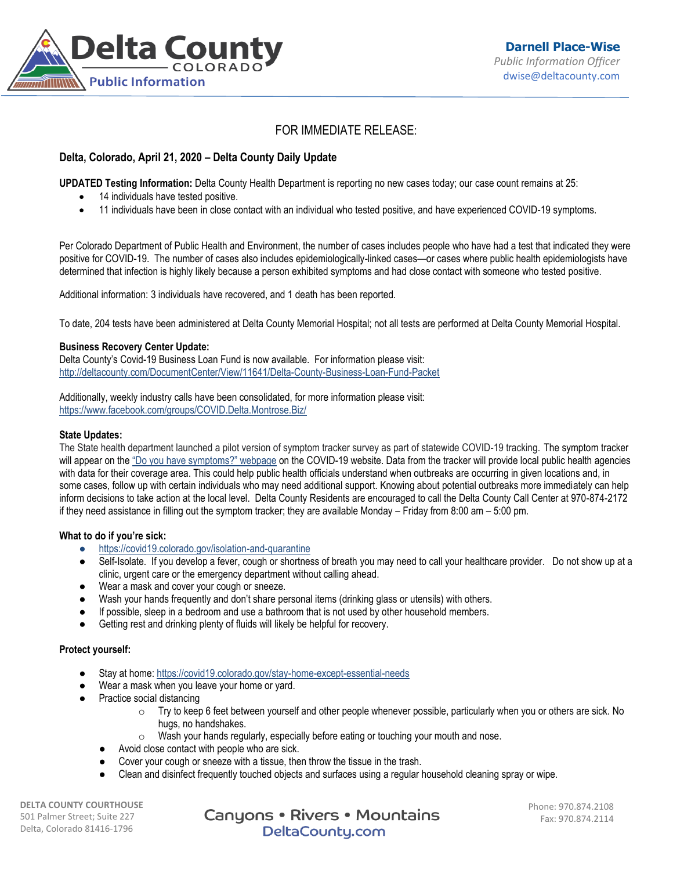

# FOR IMMEDIATE RELEASE:

## **Delta, Colorado, April 21, 2020 – Delta County Daily Update**

**UPDATED Testing Information:** Delta County Health Department is reporting no new cases today; our case count remains at 25:

- 14 individuals have tested positive.
- 11 individuals have been in close contact with an individual who tested positive, and have experienced COVID-19 symptoms.

Per Colorado Department of Public Health and Environment, the number of cases includes people who have had a test that indicated they were positive for COVID-19. The number of cases also includes epidemiologically-linked cases—or cases where public health epidemiologists have determined that infection is highly likely because a person exhibited symptoms and had close contact with someone who tested positive.

Additional information: 3 individuals have recovered, and 1 death has been reported.

To date, 204 tests have been administered at Delta County Memorial Hospital; not all tests are performed at Delta County Memorial Hospital.

### **Business Recovery Center Update:**

Delta County's Covid-19 Business Loan Fund is now available. For information please visit: <http://deltacounty.com/DocumentCenter/View/11641/Delta-County-Business-Loan-Fund-Packet>

Additionally, weekly industry calls have been consolidated, for more information please visit: <https://www.facebook.com/groups/COVID.Delta.Montrose.Biz/>

#### **State Updates:**

The State health department launched a pilot version of symptom tracker survey as part of statewide COVID-19 tracking. The symptom tracker will appear on the ["Do you have symptoms?" webpage](https://urldefense.proofpoint.com/v2/url?u=https-3A__covid19.colorado.gov_covid19-2Dsymptoms&d=DwMFaQ&c=sdnEM9SRGFuMt5z5w3AhsPNahmNicq64TgF1JwNR0cs&r=PnKX2o6V5rT28C01uT2jQaey7O9MlRgTjftfZ9p6mrI&m=VeZtDCOPLO9OSJM7nuzpB2rG_iy7tj1Io9J2P1Kv0QU&s=p9aYyGvZSKEJjKYyFnNCBKKjXxOW1Wzspe5dvhBVwWA&e=) on the COVID-19 website. Data from the tracker will provide local public health agencies with data for their coverage area. This could help public health officials understand when outbreaks are occurring in given locations and, in some cases, follow up with certain individuals who may need additional support. Knowing about potential outbreaks more immediately can help inform decisions to take action at the local level. Delta County Residents are encouraged to call the Delta County Call Center at 970-874-2172 if they need assistance in filling out the symptom tracker; they are available Monday – Friday from 8:00 am – 5:00 pm.

### **What to do if you're sick:**

- <https://covid19.colorado.gov/isolation-and-quarantine>
- Self-Isolate. If you develop a fever, cough or shortness of breath you may need to call your healthcare provider. Do not show up at a clinic, urgent care or the emergency department without calling ahead.
- Wear a mask and cover your cough or sneeze.
- Wash your hands frequently and don't share personal items (drinking glass or utensils) with others.
- If possible, sleep in a bedroom and use a bathroom that is not used by other household members.
- Getting rest and drinking plenty of fluids will likely be helpful for recovery.

### **Protect yourself:**

- Stay at home: <https://covid19.colorado.gov/stay-home-except-essential-needs>
- Wear a mask when you leave your home or yard.
- Practice social distancing
	- $\circ$  Try to keep 6 feet between yourself and other people whenever possible, particularly when you or others are sick. No hugs, no handshakes.
	- o Wash your hands regularly, especially before eating or touching your mouth and nose.
	- Avoid close contact with people who are sick.
	- Cover your cough or sneeze with a tissue, then throw the tissue in the trash.
	- Clean and disinfect frequently touched objects and surfaces using a regular household cleaning spray or wipe.

**DELTA COUNTY COURTHOUSE** 501 Palmer Street; Suite 227 Delta, Colorado 81416-1796

Canyons • Rivers • Mountains DeltaCounty.com

Phone: 970.874.2108 Fax: 970.874.2114